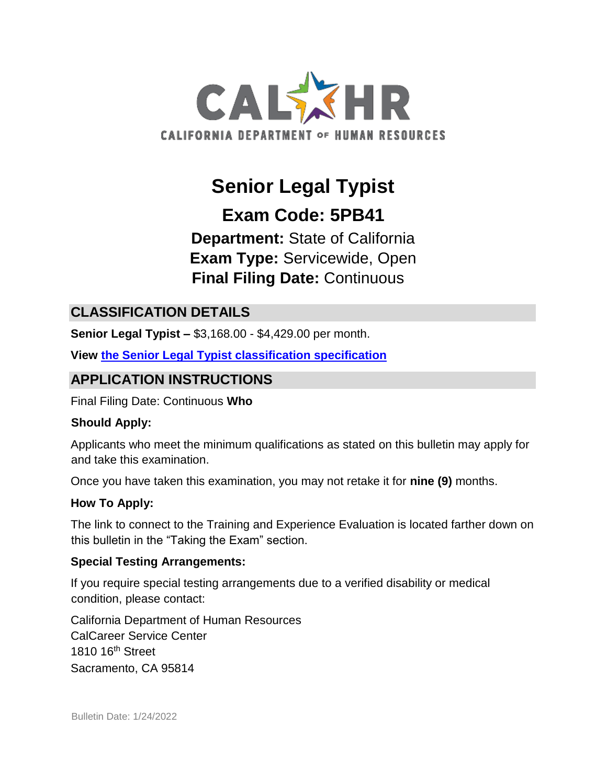

# **Senior Legal Typist Exam Code: 5PB41**

**Department:** State of California **Exam Type:** Servicewide, Open **Final Filing Date:** Continuous

## **CLASSIFICATION DETAILS**

**Senior Legal Typist –** \$3,168.00 - \$4,429.00 per month.

**View [the Senior Legal Typist](http://www.calhr.ca.gov/state-hr-professionals/pages/3224.aspx) [classification specification](http://www.calhr.ca.gov/state-hr-professionals/pages/3224.aspx)**

# **APPLICATION INSTRUCTIONS**

Final Filing Date: Continuous **Who** 

#### **Should Apply:**

Applicants who meet the minimum qualifications as stated on this bulletin may apply for and take this examination.

Once you have taken this examination, you may not retake it for **nine (9)** months.

#### **How To Apply:**

The link to connect to the Training and Experience Evaluation is located farther down on this bulletin in the "Taking the Exam" section.

#### **Special Testing Arrangements:**

If you require special testing arrangements due to a verified disability or medical condition, please contact:

California Department of Human Resources CalCareer Service Center 1810 16th Street Sacramento, CA 95814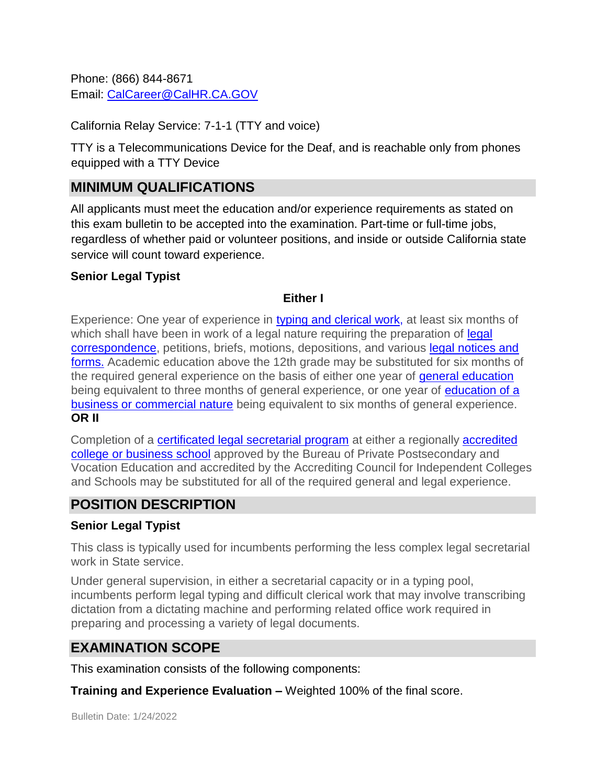Phone: (866) 844-8671 Email: CalCareer@CalHR.CA.GOV

California Relay Service: 7-1-1 (TTY and voice)

TTY is a Telecommunications Device for the Deaf, and is reachable only from phones equipped with a TTY Device

## **MINIMUM QUALIFICATIONS**

All applicants must meet the education and/or experience requirements as stated on this exam bulletin to be accepted into the examination. Part-time or full-time jobs, regardless of whether paid or volunteer positions, and inside or outside California state service will count toward experience.

#### **Senior Legal Typist**

#### **Either I**

Experience: One year of experience in [typing and clerical work,](https://jobs.ca.gov/jobsgen/5PB41A.pdf) at least six months of which shall have been in work of a [legal](https://jobs.ca.gov/jobsgen/5PB41B.pdf) nature requiring the preparation of legal [correspondence,](https://jobs.ca.gov/jobsgen/5PB41B.pdf) petitions, briefs, motions, depositions, and various [legal notices and](https://jobs.ca.gov/jobsgen/5PB41C.pdf) [forms.](https://jobs.ca.gov/jobsgen/5PB41C.pdf) [A](https://jobs.ca.gov/jobsgen/5PB41C.pdf)cademic education above the 12th grade may be substituted for six months of the required general experience on the basis of either one year of [general education](https://jobs.ca.gov/jobsgen/5PB41D.pdf) being equivalent to three months of general experience, or one year of [education of a](https://jobs.ca.gov/jobsgen/5PB41G.pdf) [business or commercial nature](https://jobs.ca.gov/jobsgen/5PB41G.pdf) [b](https://jobs.ca.gov/jobsgen/5PB41G.pdf)eing equivalent to six months of general experience. **OR II** 

Completion of [a](https://jobs.ca.gov/jobsgen/5PB41E.pdf) **certificated legal secretarial program** at either a regionally **accredited** [college or business school](https://jobs.ca.gov/jobsgen/5PB41F.pdf) approved by the Bureau of Private Postsecondary and Vocation Education and accredited by the Accrediting Council for Independent Colleges and Schools may be substituted for all of the required general and legal experience.

## **POSITION DESCRIPTION**

#### **Senior Legal Typist**

This class is typically used for incumbents performing the less complex legal secretarial work in State service.

Under general supervision, in either a secretarial capacity or in a typing pool, incumbents perform legal typing and difficult clerical work that may involve transcribing dictation from a dictating machine and performing related office work required in preparing and processing a variety of legal documents.

#### **EXAMINATION SCOPE**

This examination consists of the following components:

**Training and Experience Evaluation –** Weighted 100% of the final score.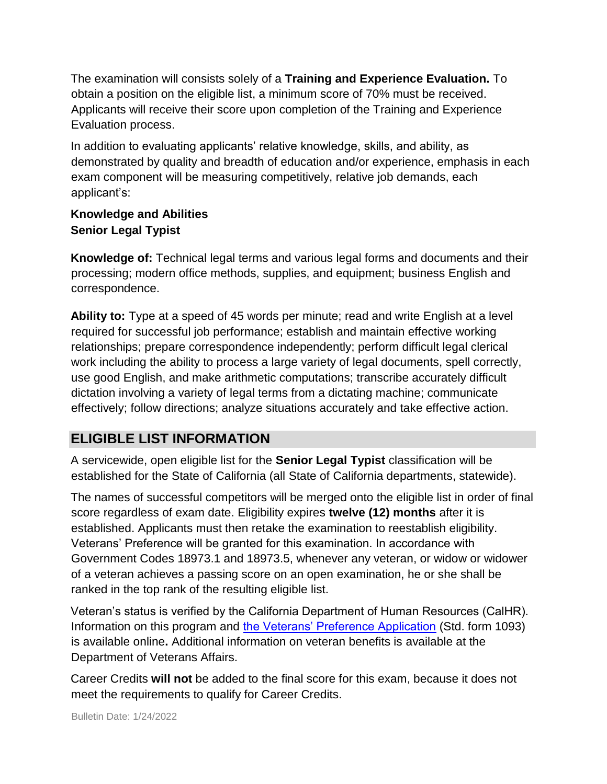The examination will consists solely of a **Training and Experience Evaluation.** To obtain a position on the eligible list, a minimum score of 70% must be received. Applicants will receive their score upon completion of the Training and Experience Evaluation process.

In addition to evaluating applicants' relative knowledge, skills, and ability, as demonstrated by quality and breadth of education and/or experience, emphasis in each exam component will be measuring competitively, relative job demands, each applicant's:

#### **Knowledge and Abilities Senior Legal Typist**

**Knowledge of:** Technical legal terms and various legal forms and documents and their processing; modern office methods, supplies, and equipment; business English and correspondence.

**Ability to:** Type at a speed of 45 words per minute; read and write English at a level required for successful job performance; establish and maintain effective working relationships; prepare correspondence independently; perform difficult legal clerical work including the ability to process a large variety of legal documents, spell correctly, use good English, and make arithmetic computations; transcribe accurately difficult dictation involving a variety of legal terms from a dictating machine; communicate effectively; follow directions; analyze situations accurately and take effective action.

# **ELIGIBLE LIST INFORMATION**

A servicewide, open eligible list for the **Senior Legal Typist** classification will be established for the State of California (all State of California departments, statewide).

The names of successful competitors will be merged onto the eligible list in order of final score regardless of exam date. Eligibility expires **twelve (12) months** after it is established. Applicants must then retake the examination to reestablish eligibility. Veterans' Preference will be granted for this examination. In accordance with Government Codes 18973.1 and 18973.5, whenever any veteran, or widow or widower of a veteran achieves a passing score on an open examination, he or she shall be ranked in the top rank of the resulting eligible list.

Veteran's status is verified by the California Department of Human Resources (CalHR). Information on this program and [the Veterans' Preference Application](https://www.jobs.ca.gov/CalHRPublic/Landing/Jobs/VeteransInformation.aspx) [\(](https://www.jobs.ca.gov/CalHRPublic/Landing/Jobs/VeteransInformation.aspx)Std. form 1093) is available online**.** Additional information on veteran benefits is available at the Department of Veterans Affairs.

Career Credits **will not** be added to the final score for this exam, because it does not meet the requirements to qualify for Career Credits.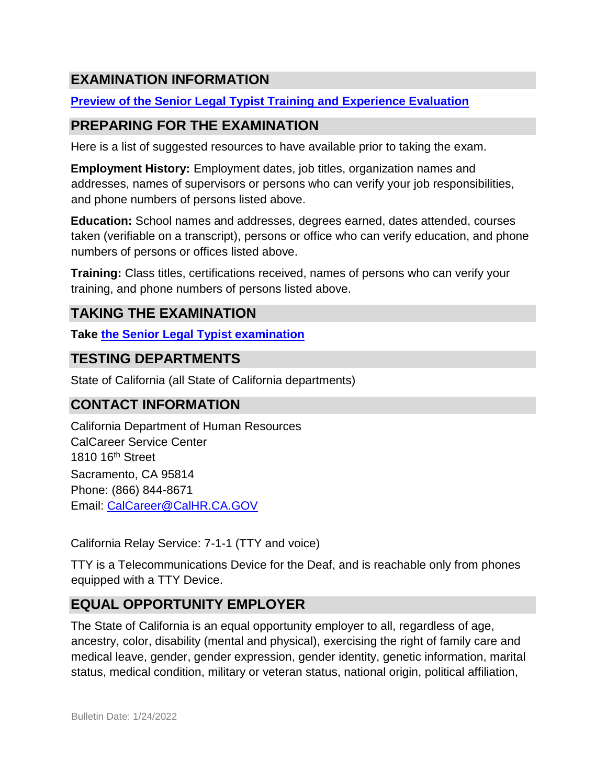# **EXAMINATION INFORMATION**

#### **[Preview of the Senior Legal Typist Training and Experience Evaluation](https://jobs.ca.gov/jobsgen/5PB41H.pdf)**

## **PREPARING FOR THE EXAMINATION**

Here is a list of suggested resources to have available prior to taking the exam.

**Employment History:** Employment dates, job titles, organization names and addresses, names of supervisors or persons who can verify your job responsibilities, and phone numbers of persons listed above.

**Education:** School names and addresses, degrees earned, dates attended, courses taken (verifiable on a transcript), persons or office who can verify education, and phone numbers of persons or offices listed above.

**Training:** Class titles, certifications received, names of persons who can verify your training, and phone numbers of persons listed above.

## **TAKING THE EXAMINATION**

**Take [the Senior Legal Typist examination](https://exams.spb.ca.gov/exams/slt/index.cfm)**

### **TESTING DEPARTMENTS**

State of California (all State of California departments)

## **CONTACT INFORMATION**

California Department of Human Resources CalCareer Service Center 1810 16th Street Sacramento, CA 95814 Phone: (866) 844-8671 Email: CalCareer@CalHR.CA.GOV

California Relay Service: 7-1-1 (TTY and voice)

TTY is a Telecommunications Device for the Deaf, and is reachable only from phones equipped with a TTY Device.

# **EQUAL OPPORTUNITY EMPLOYER**

The State of California is an equal opportunity employer to all, regardless of age, ancestry, color, disability (mental and physical), exercising the right of family care and medical leave, gender, gender expression, gender identity, genetic information, marital status, medical condition, military or veteran status, national origin, political affiliation,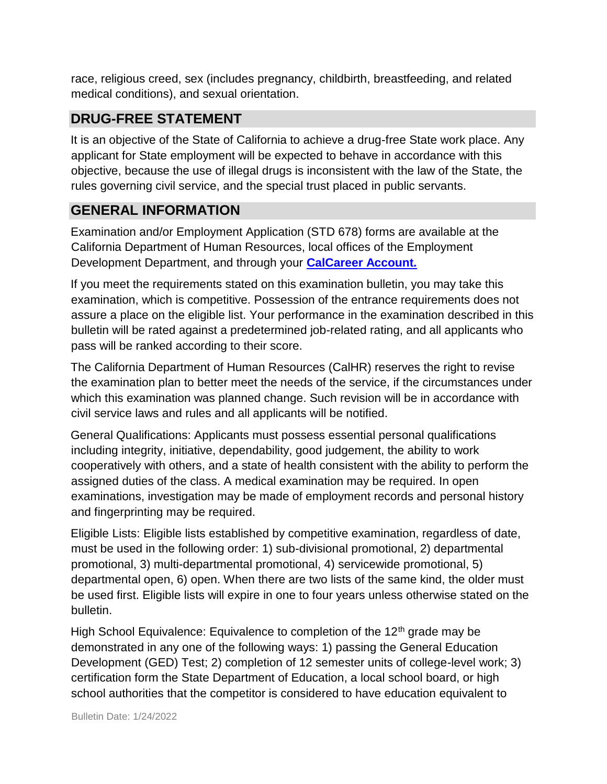race, religious creed, sex (includes pregnancy, childbirth, breastfeeding, and related medical conditions), and sexual orientation.

# **DRUG-FREE STATEMENT**

It is an objective of the State of California to achieve a drug-free State work place. Any applicant for State employment will be expected to behave in accordance with this objective, because the use of illegal drugs is inconsistent with the law of the State, the rules governing civil service, and the special trust placed in public servants.

# **GENERAL INFORMATION**

Examination and/or Employment Application (STD 678) forms are available at the California Department of Human Resources, local offices of the Employment Development Department, and through your **[CalCareer Account.](http://www.jobs.ca.gov/)**

If you meet the requirements stated on this examination bulletin, you may take this examination, which is competitive. Possession of the entrance requirements does not assure a place on the eligible list. Your performance in the examination described in this bulletin will be rated against a predetermined job-related rating, and all applicants who pass will be ranked according to their score.

The California Department of Human Resources (CalHR) reserves the right to revise the examination plan to better meet the needs of the service, if the circumstances under which this examination was planned change. Such revision will be in accordance with civil service laws and rules and all applicants will be notified.

General Qualifications: Applicants must possess essential personal qualifications including integrity, initiative, dependability, good judgement, the ability to work cooperatively with others, and a state of health consistent with the ability to perform the assigned duties of the class. A medical examination may be required. In open examinations, investigation may be made of employment records and personal history and fingerprinting may be required.

Eligible Lists: Eligible lists established by competitive examination, regardless of date, must be used in the following order: 1) sub-divisional promotional, 2) departmental promotional, 3) multi-departmental promotional, 4) servicewide promotional, 5) departmental open, 6) open. When there are two lists of the same kind, the older must be used first. Eligible lists will expire in one to four years unless otherwise stated on the bulletin.

High School Equivalence: Equivalence to completion of the  $12<sup>th</sup>$  grade may be demonstrated in any one of the following ways: 1) passing the General Education Development (GED) Test; 2) completion of 12 semester units of college-level work; 3) certification form the State Department of Education, a local school board, or high school authorities that the competitor is considered to have education equivalent to